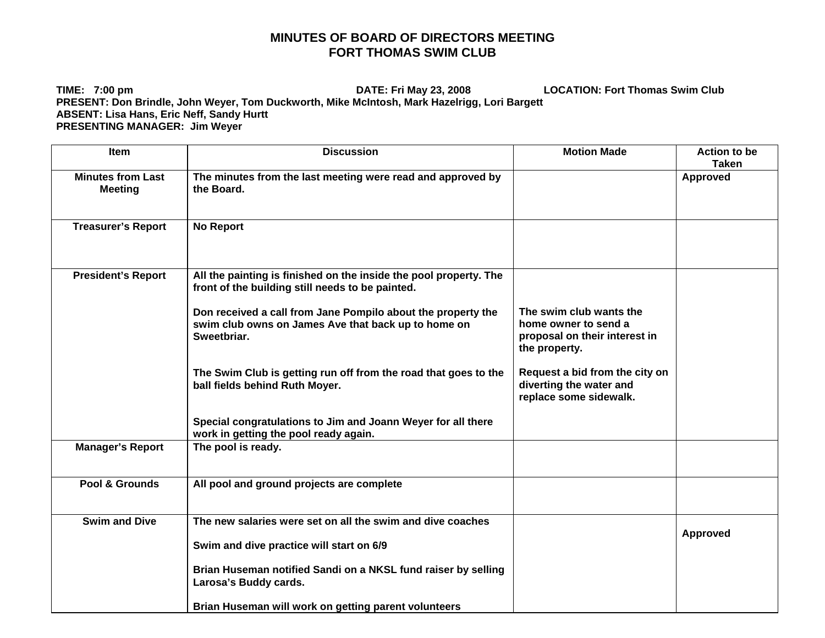## **MINUTES OF BOARD OF DIRECTORS MEETING FORT THOMAS SWIM CLUB**

**TIME: 7:00 pm DATE: Fri May 23, 2008 LOCATION: Fort Thomas Swim Club PRESENT: Don Brindle, John Weyer, Tom Duckworth, Mike McIntosh, Mark Hazelrigg, Lori Bargett ABSENT: Lisa Hans, Eric Neff, Sandy Hurtt PRESENTING MANAGER: Jim Weyer** 

| Item                                       | <b>Discussion</b>                                                                                                                                                                     | <b>Motion Made</b>                                                                  | <b>Action to be</b><br><b>Taken</b> |
|--------------------------------------------|---------------------------------------------------------------------------------------------------------------------------------------------------------------------------------------|-------------------------------------------------------------------------------------|-------------------------------------|
| <b>Minutes from Last</b><br><b>Meeting</b> | The minutes from the last meeting were read and approved by<br>the Board.                                                                                                             |                                                                                     | <b>Approved</b>                     |
| <b>Treasurer's Report</b>                  | <b>No Report</b>                                                                                                                                                                      |                                                                                     |                                     |
| <b>President's Report</b>                  | All the painting is finished on the inside the pool property. The<br>front of the building still needs to be painted.<br>Don received a call from Jane Pompilo about the property the | The swim club wants the                                                             |                                     |
|                                            | swim club owns on James Ave that back up to home on<br>Sweetbriar.                                                                                                                    | home owner to send a<br>proposal on their interest in<br>the property.              |                                     |
|                                            | The Swim Club is getting run off from the road that goes to the<br>ball fields behind Ruth Moyer.                                                                                     | Request a bid from the city on<br>diverting the water and<br>replace some sidewalk. |                                     |
|                                            | Special congratulations to Jim and Joann Weyer for all there<br>work in getting the pool ready again.                                                                                 |                                                                                     |                                     |
| <b>Manager's Report</b>                    | The pool is ready.                                                                                                                                                                    |                                                                                     |                                     |
| Pool & Grounds                             | All pool and ground projects are complete                                                                                                                                             |                                                                                     |                                     |
| <b>Swim and Dive</b>                       | The new salaries were set on all the swim and dive coaches<br>Swim and dive practice will start on 6/9                                                                                |                                                                                     | Approved                            |
|                                            | Brian Huseman notified Sandi on a NKSL fund raiser by selling<br>Larosa's Buddy cards.                                                                                                |                                                                                     |                                     |
|                                            | Brian Huseman will work on getting parent volunteers                                                                                                                                  |                                                                                     |                                     |